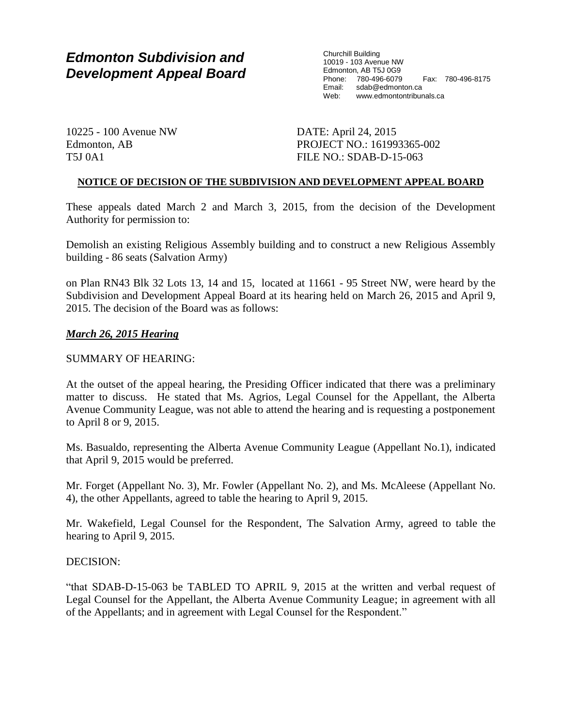# *Edmonton Subdivision and Development Appeal Board*

Churchill Building 10019 - 103 Avenue NW Edmonton, AB T5J 0G9 Phone: 780-496-6079 Fax: 780-496-8175 sdab@edmonton.ca Web: www.edmontontribunals.ca

10225 - 100 Avenue NW Edmonton, AB T5J 0A1

DATE: April 24, 2015 PROJECT NO.: 161993365-002 FILE NO.: SDAB-D-15-063

# **NOTICE OF DECISION OF THE SUBDIVISION AND DEVELOPMENT APPEAL BOARD**

These appeals dated March 2 and March 3, 2015, from the decision of the Development Authority for permission to:

Demolish an existing Religious Assembly building and to construct a new Religious Assembly building - 86 seats (Salvation Army)

on Plan RN43 Blk 32 Lots 13, 14 and 15, located at 11661 - 95 Street NW, were heard by the Subdivision and Development Appeal Board at its hearing held on March 26, 2015 and April 9, 2015. The decision of the Board was as follows:

# *March 26, 2015 Hearing*

# SUMMARY OF HEARING:

At the outset of the appeal hearing, the Presiding Officer indicated that there was a preliminary matter to discuss. He stated that Ms. Agrios, Legal Counsel for the Appellant, the Alberta Avenue Community League, was not able to attend the hearing and is requesting a postponement to April 8 or 9, 2015.

Ms. Basualdo, representing the Alberta Avenue Community League (Appellant No.1), indicated that April 9, 2015 would be preferred.

Mr. Forget (Appellant No. 3), Mr. Fowler (Appellant No. 2), and Ms. McAleese (Appellant No. 4), the other Appellants, agreed to table the hearing to April 9, 2015.

Mr. Wakefield, Legal Counsel for the Respondent, The Salvation Army, agreed to table the hearing to April 9, 2015.

## DECISION:

"that SDAB-D-15-063 be TABLED TO APRIL 9, 2015 at the written and verbal request of Legal Counsel for the Appellant, the Alberta Avenue Community League; in agreement with all of the Appellants; and in agreement with Legal Counsel for the Respondent."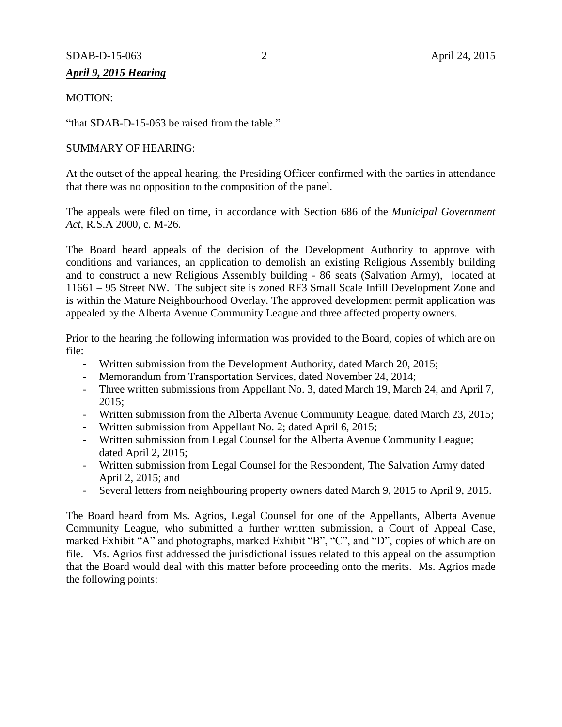# SDAB-D-15-063 2 April 24, 2015

# *April 9, 2015 Hearing*

# MOTION:

"that SDAB-D-15-063 be raised from the table."

# SUMMARY OF HEARING:

At the outset of the appeal hearing, the Presiding Officer confirmed with the parties in attendance that there was no opposition to the composition of the panel.

The appeals were filed on time, in accordance with Section 686 of the *Municipal Government Act*, R.S.A 2000, c. M-26.

The Board heard appeals of the decision of the Development Authority to approve with conditions and variances, an application to demolish an existing Religious Assembly building and to construct a new Religious Assembly building - 86 seats (Salvation Army), located at 11661 – 95 Street NW. The subject site is zoned RF3 Small Scale Infill Development Zone and is within the Mature Neighbourhood Overlay. The approved development permit application was appealed by the Alberta Avenue Community League and three affected property owners.

Prior to the hearing the following information was provided to the Board, copies of which are on file:

- Written submission from the Development Authority, dated March 20, 2015;
- Memorandum from Transportation Services, dated November 24, 2014;
- Three written submissions from Appellant No. 3, dated March 19, March 24, and April 7, 2015;
- Written submission from the Alberta Avenue Community League, dated March 23, 2015;
- Written submission from Appellant No. 2; dated April 6, 2015;
- Written submission from Legal Counsel for the Alberta Avenue Community League; dated April 2, 2015;
- Written submission from Legal Counsel for the Respondent, The Salvation Army dated April 2, 2015; and
- Several letters from neighbouring property owners dated March 9, 2015 to April 9, 2015.

The Board heard from Ms. Agrios, Legal Counsel for one of the Appellants, Alberta Avenue Community League, who submitted a further written submission, a Court of Appeal Case, marked Exhibit "A" and photographs, marked Exhibit "B", "C", and "D", copies of which are on file. Ms. Agrios first addressed the jurisdictional issues related to this appeal on the assumption that the Board would deal with this matter before proceeding onto the merits. Ms. Agrios made the following points: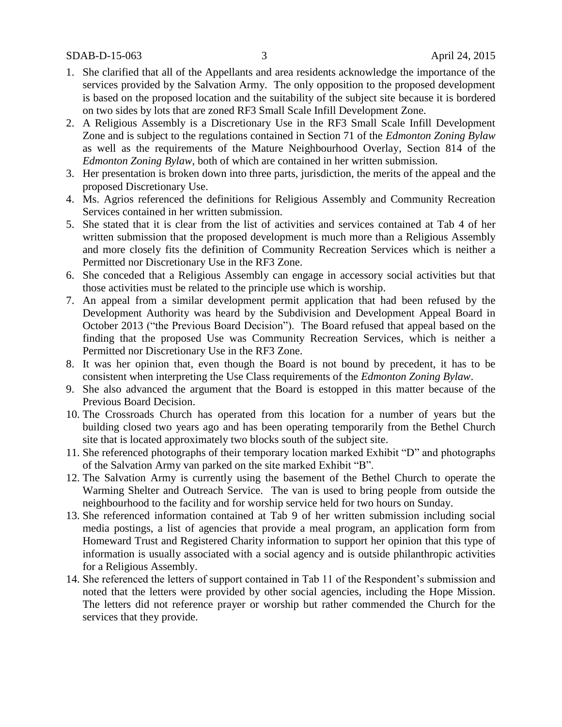- 1. She clarified that all of the Appellants and area residents acknowledge the importance of the services provided by the Salvation Army. The only opposition to the proposed development is based on the proposed location and the suitability of the subject site because it is bordered on two sides by lots that are zoned RF3 Small Scale Infill Development Zone.
- 2. A Religious Assembly is a Discretionary Use in the RF3 Small Scale Infill Development Zone and is subject to the regulations contained in Section 71 of the *Edmonton Zoning Bylaw* as well as the requirements of the Mature Neighbourhood Overlay, Section 814 of the *Edmonton Zoning Bylaw*, both of which are contained in her written submission.
- 3. Her presentation is broken down into three parts, jurisdiction, the merits of the appeal and the proposed Discretionary Use.
- 4. Ms. Agrios referenced the definitions for Religious Assembly and Community Recreation Services contained in her written submission.
- 5. She stated that it is clear from the list of activities and services contained at Tab 4 of her written submission that the proposed development is much more than a Religious Assembly and more closely fits the definition of Community Recreation Services which is neither a Permitted nor Discretionary Use in the RF3 Zone.
- 6. She conceded that a Religious Assembly can engage in accessory social activities but that those activities must be related to the principle use which is worship.
- 7. An appeal from a similar development permit application that had been refused by the Development Authority was heard by the Subdivision and Development Appeal Board in October 2013 ("the Previous Board Decision"). The Board refused that appeal based on the finding that the proposed Use was Community Recreation Services, which is neither a Permitted nor Discretionary Use in the RF3 Zone.
- 8. It was her opinion that, even though the Board is not bound by precedent, it has to be consistent when interpreting the Use Class requirements of the *Edmonton Zoning Bylaw*.
- 9. She also advanced the argument that the Board is estopped in this matter because of the Previous Board Decision.
- 10. The Crossroads Church has operated from this location for a number of years but the building closed two years ago and has been operating temporarily from the Bethel Church site that is located approximately two blocks south of the subject site.
- 11. She referenced photographs of their temporary location marked Exhibit "D" and photographs of the Salvation Army van parked on the site marked Exhibit "B".
- 12. The Salvation Army is currently using the basement of the Bethel Church to operate the Warming Shelter and Outreach Service. The van is used to bring people from outside the neighbourhood to the facility and for worship service held for two hours on Sunday.
- 13. She referenced information contained at Tab 9 of her written submission including social media postings, a list of agencies that provide a meal program, an application form from Homeward Trust and Registered Charity information to support her opinion that this type of information is usually associated with a social agency and is outside philanthropic activities for a Religious Assembly.
- 14. She referenced the letters of support contained in Tab 11 of the Respondent's submission and noted that the letters were provided by other social agencies, including the Hope Mission. The letters did not reference prayer or worship but rather commended the Church for the services that they provide.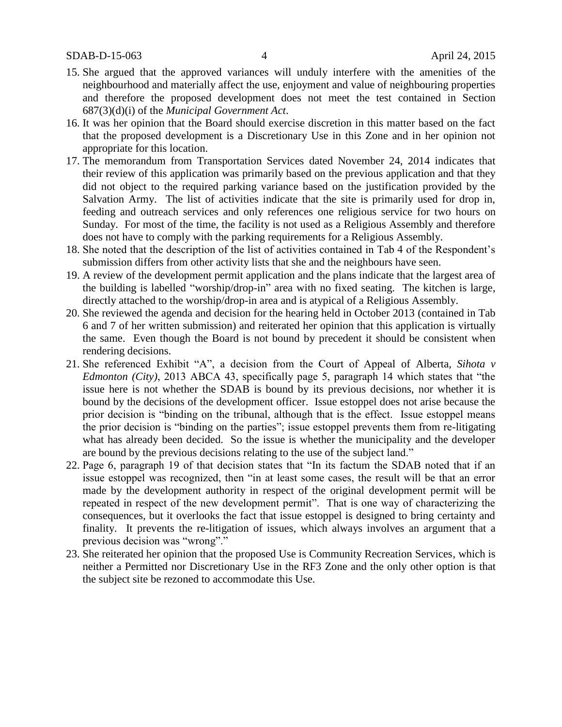- 15. She argued that the approved variances will unduly interfere with the amenities of the neighbourhood and materially affect the use, enjoyment and value of neighbouring properties and therefore the proposed development does not meet the test contained in Section 687(3)(d)(i) of the *Municipal Government Act*.
- 16. It was her opinion that the Board should exercise discretion in this matter based on the fact that the proposed development is a Discretionary Use in this Zone and in her opinion not appropriate for this location.
- 17. The memorandum from Transportation Services dated November 24, 2014 indicates that their review of this application was primarily based on the previous application and that they did not object to the required parking variance based on the justification provided by the Salvation Army. The list of activities indicate that the site is primarily used for drop in, feeding and outreach services and only references one religious service for two hours on Sunday. For most of the time, the facility is not used as a Religious Assembly and therefore does not have to comply with the parking requirements for a Religious Assembly.
- 18. She noted that the description of the list of activities contained in Tab 4 of the Respondent's submission differs from other activity lists that she and the neighbours have seen.
- 19. A review of the development permit application and the plans indicate that the largest area of the building is labelled "worship/drop-in" area with no fixed seating. The kitchen is large, directly attached to the worship/drop-in area and is atypical of a Religious Assembly.
- 20. She reviewed the agenda and decision for the hearing held in October 2013 (contained in Tab 6 and 7 of her written submission) and reiterated her opinion that this application is virtually the same. Even though the Board is not bound by precedent it should be consistent when rendering decisions.
- 21. She referenced Exhibit "A", a decision from the Court of Appeal of Alberta, *Sihota v Edmonton (City)*, 2013 ABCA 43, specifically page 5, paragraph 14 which states that "the issue here is not whether the SDAB is bound by its previous decisions, nor whether it is bound by the decisions of the development officer. Issue estoppel does not arise because the prior decision is "binding on the tribunal, although that is the effect. Issue estoppel means the prior decision is "binding on the parties"; issue estoppel prevents them from re-litigating what has already been decided. So the issue is whether the municipality and the developer are bound by the previous decisions relating to the use of the subject land."
- 22. Page 6, paragraph 19 of that decision states that "In its factum the SDAB noted that if an issue estoppel was recognized, then "in at least some cases, the result will be that an error made by the development authority in respect of the original development permit will be repeated in respect of the new development permit". That is one way of characterizing the consequences, but it overlooks the fact that issue estoppel is designed to bring certainty and finality. It prevents the re-litigation of issues, which always involves an argument that a previous decision was "wrong"."
- 23. She reiterated her opinion that the proposed Use is Community Recreation Services, which is neither a Permitted nor Discretionary Use in the RF3 Zone and the only other option is that the subject site be rezoned to accommodate this Use.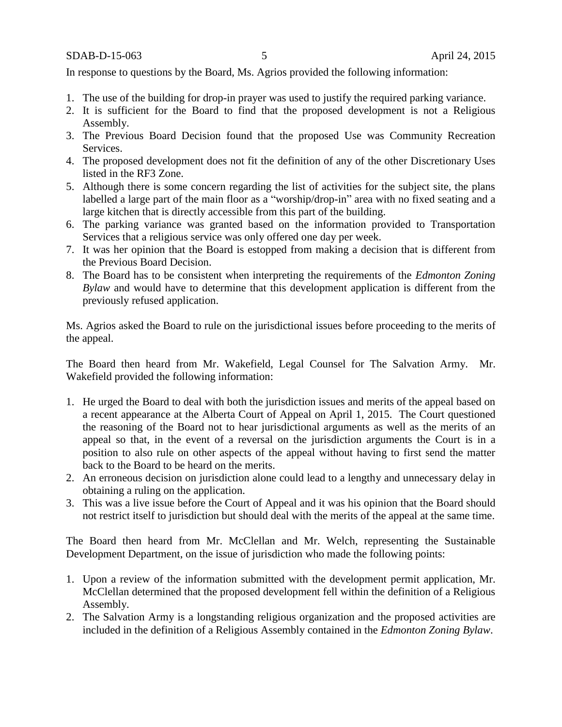SDAB-D-15-063 5 April 24, 2015

In response to questions by the Board, Ms. Agrios provided the following information:

- 1. The use of the building for drop-in prayer was used to justify the required parking variance.
- 2. It is sufficient for the Board to find that the proposed development is not a Religious Assembly.
- 3. The Previous Board Decision found that the proposed Use was Community Recreation Services.
- 4. The proposed development does not fit the definition of any of the other Discretionary Uses listed in the RF3 Zone.
- 5. Although there is some concern regarding the list of activities for the subject site, the plans labelled a large part of the main floor as a "worship/drop-in" area with no fixed seating and a large kitchen that is directly accessible from this part of the building.
- 6. The parking variance was granted based on the information provided to Transportation Services that a religious service was only offered one day per week.
- 7. It was her opinion that the Board is estopped from making a decision that is different from the Previous Board Decision.
- 8. The Board has to be consistent when interpreting the requirements of the *Edmonton Zoning Bylaw* and would have to determine that this development application is different from the previously refused application.

Ms. Agrios asked the Board to rule on the jurisdictional issues before proceeding to the merits of the appeal.

The Board then heard from Mr. Wakefield, Legal Counsel for The Salvation Army. Mr. Wakefield provided the following information:

- 1. He urged the Board to deal with both the jurisdiction issues and merits of the appeal based on a recent appearance at the Alberta Court of Appeal on April 1, 2015. The Court questioned the reasoning of the Board not to hear jurisdictional arguments as well as the merits of an appeal so that, in the event of a reversal on the jurisdiction arguments the Court is in a position to also rule on other aspects of the appeal without having to first send the matter back to the Board to be heard on the merits.
- 2. An erroneous decision on jurisdiction alone could lead to a lengthy and unnecessary delay in obtaining a ruling on the application.
- 3. This was a live issue before the Court of Appeal and it was his opinion that the Board should not restrict itself to jurisdiction but should deal with the merits of the appeal at the same time.

The Board then heard from Mr. McClellan and Mr. Welch, representing the Sustainable Development Department, on the issue of jurisdiction who made the following points:

- 1. Upon a review of the information submitted with the development permit application, Mr. McClellan determined that the proposed development fell within the definition of a Religious Assembly.
- 2. The Salvation Army is a longstanding religious organization and the proposed activities are included in the definition of a Religious Assembly contained in the *Edmonton Zoning Bylaw*.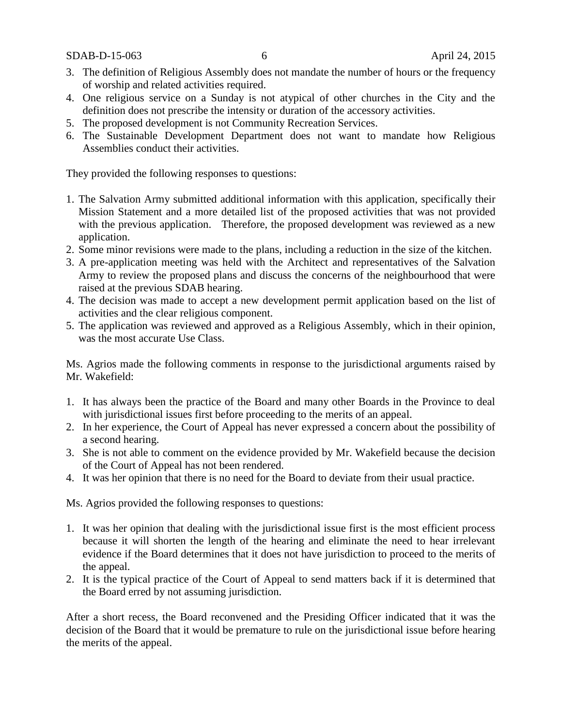SDAB-D-15-063 6 April 24, 2015

- 3. The definition of Religious Assembly does not mandate the number of hours or the frequency of worship and related activities required.
- 4. One religious service on a Sunday is not atypical of other churches in the City and the definition does not prescribe the intensity or duration of the accessory activities.
- 5. The proposed development is not Community Recreation Services.
- 6. The Sustainable Development Department does not want to mandate how Religious Assemblies conduct their activities.

They provided the following responses to questions:

- 1. The Salvation Army submitted additional information with this application, specifically their Mission Statement and a more detailed list of the proposed activities that was not provided with the previous application. Therefore, the proposed development was reviewed as a new application.
- 2. Some minor revisions were made to the plans, including a reduction in the size of the kitchen.
- 3. A pre-application meeting was held with the Architect and representatives of the Salvation Army to review the proposed plans and discuss the concerns of the neighbourhood that were raised at the previous SDAB hearing.
- 4. The decision was made to accept a new development permit application based on the list of activities and the clear religious component.
- 5. The application was reviewed and approved as a Religious Assembly, which in their opinion, was the most accurate Use Class.

Ms. Agrios made the following comments in response to the jurisdictional arguments raised by Mr. Wakefield:

- 1. It has always been the practice of the Board and many other Boards in the Province to deal with jurisdictional issues first before proceeding to the merits of an appeal.
- 2. In her experience, the Court of Appeal has never expressed a concern about the possibility of a second hearing.
- 3. She is not able to comment on the evidence provided by Mr. Wakefield because the decision of the Court of Appeal has not been rendered.
- 4. It was her opinion that there is no need for the Board to deviate from their usual practice.

Ms. Agrios provided the following responses to questions:

- 1. It was her opinion that dealing with the jurisdictional issue first is the most efficient process because it will shorten the length of the hearing and eliminate the need to hear irrelevant evidence if the Board determines that it does not have jurisdiction to proceed to the merits of the appeal.
- 2. It is the typical practice of the Court of Appeal to send matters back if it is determined that the Board erred by not assuming jurisdiction.

After a short recess, the Board reconvened and the Presiding Officer indicated that it was the decision of the Board that it would be premature to rule on the jurisdictional issue before hearing the merits of the appeal.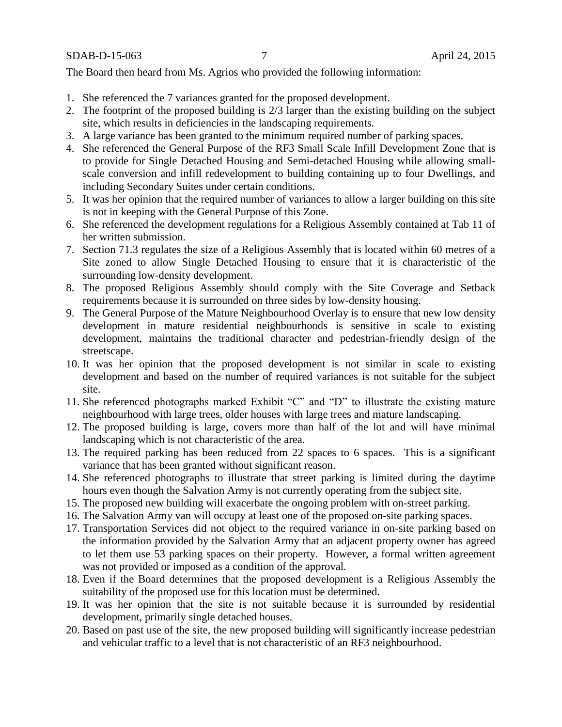The Board then heard from Ms. Agrios who provided the following information:

- 1. She referenced the 7 variances granted for the proposed development.
- 2. The footprint of the proposed building is 2/3 larger than the existing building on the subject site, which results in deficiencies in the landscaping requirements.
- 3. A large variance has been granted to the minimum required number of parking spaces.
- 4. She referenced the General Purpose of the RF3 Small Scale Infill Development Zone that is to provide for Single Detached Housing and Semi-detached Housing while allowing smallscale conversion and infill redevelopment to building containing up to four Dwellings, and including Secondary Suites under certain conditions.
- 5. It was her opinion that the required number of variances to allow a larger building on this site is not in keeping with the General Purpose of this Zone.
- 6. She referenced the development regulations for a Religious Assembly contained at Tab 11 of her written submission.
- 7. Section 71.3 regulates the size of a Religious Assembly that is located within 60 metres of a Site zoned to allow Single Detached Housing to ensure that it is characteristic of the surrounding low-density development.
- 8. The proposed Religious Assembly should comply with the Site Coverage and Setback requirements because it is surrounded on three sides by low-density housing.
- 9. The General Purpose of the Mature Neighbourhood Overlay is to ensure that new low density development in mature residential neighbourhoods is sensitive in scale to existing development, maintains the traditional character and pedestrian-friendly design of the streetscape.
- 10. It was her opinion that the proposed development is not similar in scale to existing development and based on the number of required variances is not suitable for the subject site.
- 11. She referenced photographs marked Exhibit "C" and "D" to illustrate the existing mature neighbourhood with large trees, older houses with large trees and mature landscaping.
- 12. The proposed building is large, covers more than half of the lot and will have minimal landscaping which is not characteristic of the area.
- 13. The required parking has been reduced from 22 spaces to 6 spaces. This is a significant variance that has been granted without significant reason.
- 14. She referenced photographs to illustrate that street parking is limited during the daytime hours even though the Salvation Army is not currently operating from the subject site.
- 15. The proposed new building will exacerbate the ongoing problem with on-street parking.
- 16. The Salvation Army van will occupy at least one of the proposed on-site parking spaces.
- 17. Transportation Services did not object to the required variance in on-site parking based on the information provided by the Salvation Army that an adjacent property owner has agreed to let them use 53 parking spaces on their property. However, a formal written agreement was not provided or imposed as a condition of the approval.
- 18. Even if the Board determines that the proposed development is a Religious Assembly the suitability of the proposed use for this location must be determined.
- 19. It was her opinion that the site is not suitable because it is surrounded by residential development, primarily single detached houses.
- 20. Based on past use of the site, the new proposed building will significantly increase pedestrian and vehicular traffic to a level that is not characteristic of an RF3 neighbourhood.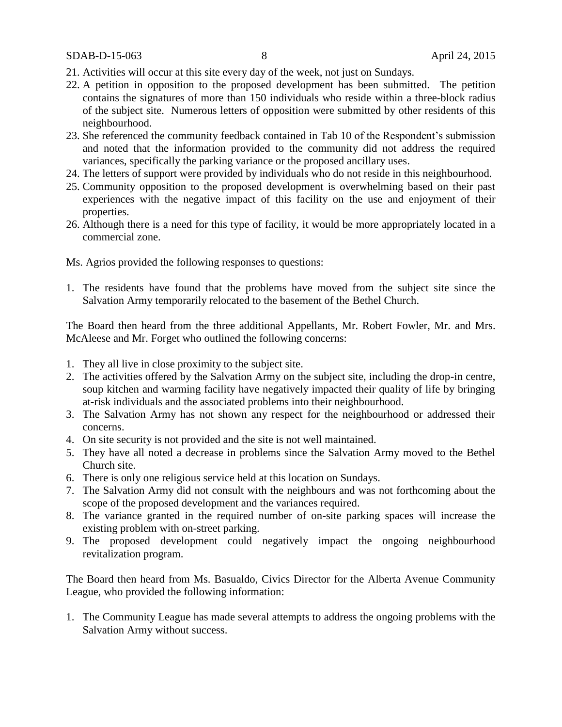- 21. Activities will occur at this site every day of the week, not just on Sundays.
- 22. A petition in opposition to the proposed development has been submitted. The petition contains the signatures of more than 150 individuals who reside within a three-block radius of the subject site. Numerous letters of opposition were submitted by other residents of this neighbourhood.
- 23. She referenced the community feedback contained in Tab 10 of the Respondent's submission and noted that the information provided to the community did not address the required variances, specifically the parking variance or the proposed ancillary uses.
- 24. The letters of support were provided by individuals who do not reside in this neighbourhood.
- 25. Community opposition to the proposed development is overwhelming based on their past experiences with the negative impact of this facility on the use and enjoyment of their properties.
- 26. Although there is a need for this type of facility, it would be more appropriately located in a commercial zone.
- Ms. Agrios provided the following responses to questions:
- 1. The residents have found that the problems have moved from the subject site since the Salvation Army temporarily relocated to the basement of the Bethel Church.

The Board then heard from the three additional Appellants, Mr. Robert Fowler, Mr. and Mrs. McAleese and Mr. Forget who outlined the following concerns:

- 1. They all live in close proximity to the subject site.
- 2. The activities offered by the Salvation Army on the subject site, including the drop-in centre, soup kitchen and warming facility have negatively impacted their quality of life by bringing at-risk individuals and the associated problems into their neighbourhood.
- 3. The Salvation Army has not shown any respect for the neighbourhood or addressed their concerns.
- 4. On site security is not provided and the site is not well maintained.
- 5. They have all noted a decrease in problems since the Salvation Army moved to the Bethel Church site.
- 6. There is only one religious service held at this location on Sundays.
- 7. The Salvation Army did not consult with the neighbours and was not forthcoming about the scope of the proposed development and the variances required.
- 8. The variance granted in the required number of on-site parking spaces will increase the existing problem with on-street parking.
- 9. The proposed development could negatively impact the ongoing neighbourhood revitalization program.

The Board then heard from Ms. Basualdo, Civics Director for the Alberta Avenue Community League, who provided the following information:

1. The Community League has made several attempts to address the ongoing problems with the Salvation Army without success.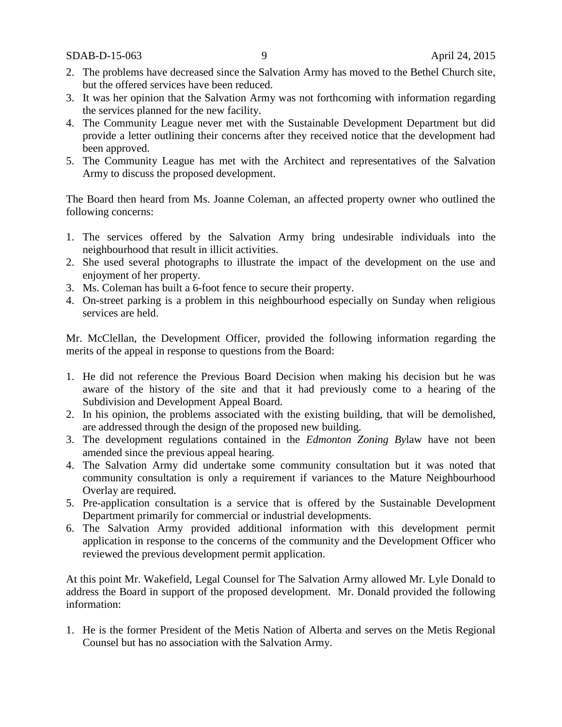SDAB-D-15-063 9 April 24, 2015

- 2. The problems have decreased since the Salvation Army has moved to the Bethel Church site, but the offered services have been reduced.
- 3. It was her opinion that the Salvation Army was not forthcoming with information regarding the services planned for the new facility.
- 4. The Community League never met with the Sustainable Development Department but did provide a letter outlining their concerns after they received notice that the development had been approved.
- 5. The Community League has met with the Architect and representatives of the Salvation Army to discuss the proposed development.

The Board then heard from Ms. Joanne Coleman, an affected property owner who outlined the following concerns:

- 1. The services offered by the Salvation Army bring undesirable individuals into the neighbourhood that result in illicit activities.
- 2. She used several photographs to illustrate the impact of the development on the use and enjoyment of her property.
- 3. Ms. Coleman has built a 6-foot fence to secure their property.
- 4. On-street parking is a problem in this neighbourhood especially on Sunday when religious services are held.

Mr. McClellan, the Development Officer, provided the following information regarding the merits of the appeal in response to questions from the Board:

- 1. He did not reference the Previous Board Decision when making his decision but he was aware of the history of the site and that it had previously come to a hearing of the Subdivision and Development Appeal Board.
- 2. In his opinion, the problems associated with the existing building, that will be demolished, are addressed through the design of the proposed new building.
- 3. The development regulations contained in the *Edmonton Zoning By*law have not been amended since the previous appeal hearing.
- 4. The Salvation Army did undertake some community consultation but it was noted that community consultation is only a requirement if variances to the Mature Neighbourhood Overlay are required.
- 5. Pre-application consultation is a service that is offered by the Sustainable Development Department primarily for commercial or industrial developments.
- 6. The Salvation Army provided additional information with this development permit application in response to the concerns of the community and the Development Officer who reviewed the previous development permit application.

At this point Mr. Wakefield, Legal Counsel for The Salvation Army allowed Mr. Lyle Donald to address the Board in support of the proposed development. Mr. Donald provided the following information:

1. He is the former President of the Metis Nation of Alberta and serves on the Metis Regional Counsel but has no association with the Salvation Army.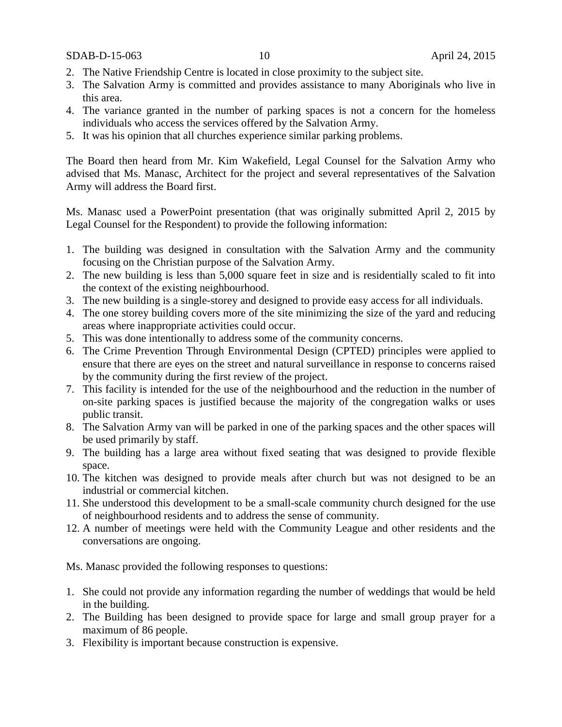- 2. The Native Friendship Centre is located in close proximity to the subject site.
- 3. The Salvation Army is committed and provides assistance to many Aboriginals who live in this area.
- 4. The variance granted in the number of parking spaces is not a concern for the homeless individuals who access the services offered by the Salvation Army.
- 5. It was his opinion that all churches experience similar parking problems.

The Board then heard from Mr. Kim Wakefield, Legal Counsel for the Salvation Army who advised that Ms. Manasc, Architect for the project and several representatives of the Salvation Army will address the Board first.

Ms. Manasc used a PowerPoint presentation (that was originally submitted April 2, 2015 by Legal Counsel for the Respondent) to provide the following information:

- 1. The building was designed in consultation with the Salvation Army and the community focusing on the Christian purpose of the Salvation Army.
- 2. The new building is less than 5,000 square feet in size and is residentially scaled to fit into the context of the existing neighbourhood.
- 3. The new building is a single-storey and designed to provide easy access for all individuals.
- 4. The one storey building covers more of the site minimizing the size of the yard and reducing areas where inappropriate activities could occur.
- 5. This was done intentionally to address some of the community concerns.
- 6. The Crime Prevention Through Environmental Design (CPTED) principles were applied to ensure that there are eyes on the street and natural surveillance in response to concerns raised by the community during the first review of the project.
- 7. This facility is intended for the use of the neighbourhood and the reduction in the number of on-site parking spaces is justified because the majority of the congregation walks or uses public transit.
- 8. The Salvation Army van will be parked in one of the parking spaces and the other spaces will be used primarily by staff.
- 9. The building has a large area without fixed seating that was designed to provide flexible space.
- 10. The kitchen was designed to provide meals after church but was not designed to be an industrial or commercial kitchen.
- 11. She understood this development to be a small-scale community church designed for the use of neighbourhood residents and to address the sense of community.
- 12. A number of meetings were held with the Community League and other residents and the conversations are ongoing.

Ms. Manasc provided the following responses to questions:

- 1. She could not provide any information regarding the number of weddings that would be held in the building.
- 2. The Building has been designed to provide space for large and small group prayer for a maximum of 86 people.
- 3. Flexibility is important because construction is expensive.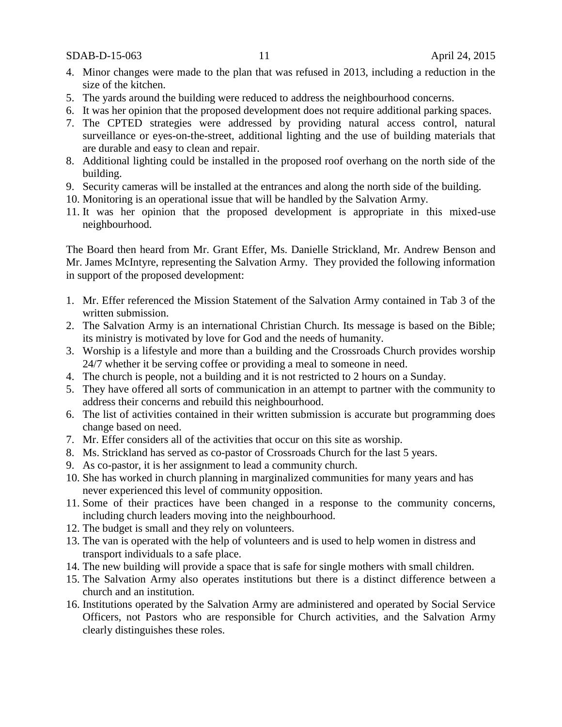SDAB-D-15-063 11 April 24, 2015

- 4. Minor changes were made to the plan that was refused in 2013, including a reduction in the size of the kitchen.
- 5. The yards around the building were reduced to address the neighbourhood concerns.
- 6. It was her opinion that the proposed development does not require additional parking spaces.
- 7. The CPTED strategies were addressed by providing natural access control, natural surveillance or eyes-on-the-street, additional lighting and the use of building materials that are durable and easy to clean and repair.
- 8. Additional lighting could be installed in the proposed roof overhang on the north side of the building.
- 9. Security cameras will be installed at the entrances and along the north side of the building.
- 10. Monitoring is an operational issue that will be handled by the Salvation Army.
- 11. It was her opinion that the proposed development is appropriate in this mixed-use neighbourhood.

The Board then heard from Mr. Grant Effer, Ms. Danielle Strickland, Mr. Andrew Benson and Mr. James McIntyre, representing the Salvation Army. They provided the following information in support of the proposed development:

- 1. Mr. Effer referenced the Mission Statement of the Salvation Army contained in Tab 3 of the written submission.
- 2. The Salvation Army is an international Christian Church. Its message is based on the Bible; its ministry is motivated by love for God and the needs of humanity.
- 3. Worship is a lifestyle and more than a building and the Crossroads Church provides worship 24/7 whether it be serving coffee or providing a meal to someone in need.
- 4. The church is people, not a building and it is not restricted to 2 hours on a Sunday.
- 5. They have offered all sorts of communication in an attempt to partner with the community to address their concerns and rebuild this neighbourhood.
- 6. The list of activities contained in their written submission is accurate but programming does change based on need.
- 7. Mr. Effer considers all of the activities that occur on this site as worship.
- 8. Ms. Strickland has served as co-pastor of Crossroads Church for the last 5 years.
- 9. As co-pastor, it is her assignment to lead a community church.
- 10. She has worked in church planning in marginalized communities for many years and has never experienced this level of community opposition.
- 11. Some of their practices have been changed in a response to the community concerns, including church leaders moving into the neighbourhood.
- 12. The budget is small and they rely on volunteers.
- 13. The van is operated with the help of volunteers and is used to help women in distress and transport individuals to a safe place.
- 14. The new building will provide a space that is safe for single mothers with small children.
- 15. The Salvation Army also operates institutions but there is a distinct difference between a church and an institution.
- 16. Institutions operated by the Salvation Army are administered and operated by Social Service Officers, not Pastors who are responsible for Church activities, and the Salvation Army clearly distinguishes these roles.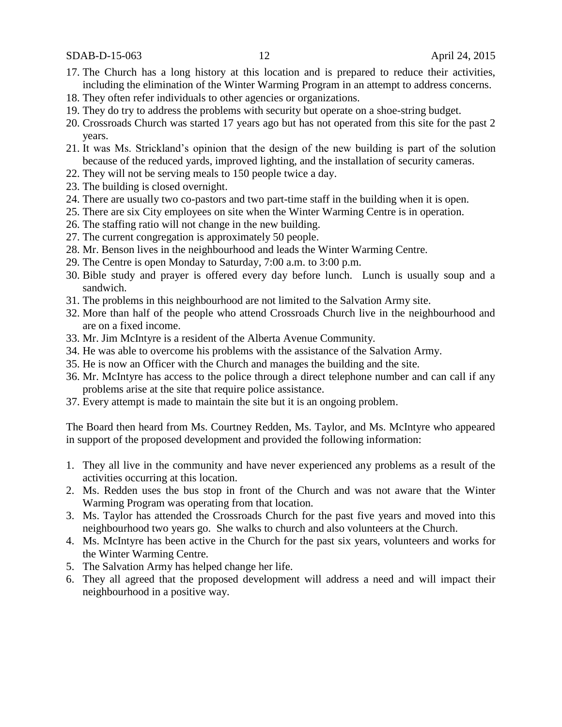SDAB-D-15-063 12 April 24, 2015

- 17. The Church has a long history at this location and is prepared to reduce their activities, including the elimination of the Winter Warming Program in an attempt to address concerns.
- 18. They often refer individuals to other agencies or organizations.
- 19. They do try to address the problems with security but operate on a shoe-string budget.
- 20. Crossroads Church was started 17 years ago but has not operated from this site for the past 2 years.
- 21. It was Ms. Strickland's opinion that the design of the new building is part of the solution because of the reduced yards, improved lighting, and the installation of security cameras.
- 22. They will not be serving meals to 150 people twice a day.
- 23. The building is closed overnight.
- 24. There are usually two co-pastors and two part-time staff in the building when it is open.
- 25. There are six City employees on site when the Winter Warming Centre is in operation.
- 26. The staffing ratio will not change in the new building.
- 27. The current congregation is approximately 50 people.
- 28. Mr. Benson lives in the neighbourhood and leads the Winter Warming Centre.
- 29. The Centre is open Monday to Saturday, 7:00 a.m. to 3:00 p.m.
- 30. Bible study and prayer is offered every day before lunch. Lunch is usually soup and a sandwich.
- 31. The problems in this neighbourhood are not limited to the Salvation Army site.
- 32. More than half of the people who attend Crossroads Church live in the neighbourhood and are on a fixed income.
- 33. Mr. Jim McIntyre is a resident of the Alberta Avenue Community.
- 34. He was able to overcome his problems with the assistance of the Salvation Army.
- 35. He is now an Officer with the Church and manages the building and the site.
- 36. Mr. McIntyre has access to the police through a direct telephone number and can call if any problems arise at the site that require police assistance.
- 37. Every attempt is made to maintain the site but it is an ongoing problem.

The Board then heard from Ms. Courtney Redden, Ms. Taylor, and Ms. McIntyre who appeared in support of the proposed development and provided the following information:

- 1. They all live in the community and have never experienced any problems as a result of the activities occurring at this location.
- 2. Ms. Redden uses the bus stop in front of the Church and was not aware that the Winter Warming Program was operating from that location.
- 3. Ms. Taylor has attended the Crossroads Church for the past five years and moved into this neighbourhood two years go. She walks to church and also volunteers at the Church.
- 4. Ms. McIntyre has been active in the Church for the past six years, volunteers and works for the Winter Warming Centre.
- 5. The Salvation Army has helped change her life.
- 6. They all agreed that the proposed development will address a need and will impact their neighbourhood in a positive way.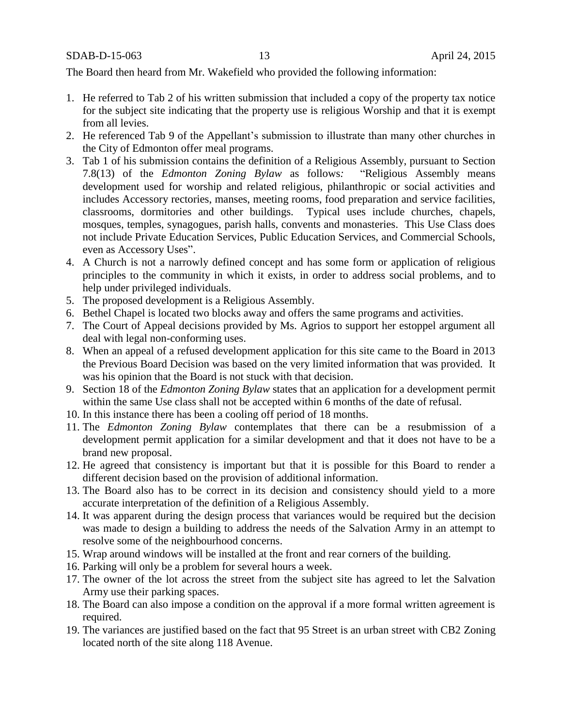The Board then heard from Mr. Wakefield who provided the following information:

- 1. He referred to Tab 2 of his written submission that included a copy of the property tax notice for the subject site indicating that the property use is religious Worship and that it is exempt from all levies.
- 2. He referenced Tab 9 of the Appellant's submission to illustrate than many other churches in the City of Edmonton offer meal programs.
- 3. Tab 1 of his submission contains the definition of a Religious Assembly, pursuant to Section 7.8(13) of the *Edmonton Zoning Bylaw* as follows*:* "Religious Assembly means development used for worship and related religious, philanthropic or social activities and includes Accessory rectories, manses, meeting rooms, food preparation and service facilities, classrooms, dormitories and other buildings. Typical uses include churches, chapels, mosques, temples, synagogues, parish halls, convents and monasteries. This Use Class does not include Private Education Services, Public Education Services, and Commercial Schools, even as Accessory Uses".
- 4. A Church is not a narrowly defined concept and has some form or application of religious principles to the community in which it exists, in order to address social problems, and to help under privileged individuals.
- 5. The proposed development is a Religious Assembly.
- 6. Bethel Chapel is located two blocks away and offers the same programs and activities.
- 7. The Court of Appeal decisions provided by Ms. Agrios to support her estoppel argument all deal with legal non-conforming uses.
- 8. When an appeal of a refused development application for this site came to the Board in 2013 the Previous Board Decision was based on the very limited information that was provided. It was his opinion that the Board is not stuck with that decision.
- 9. Section 18 of the *Edmonton Zoning Bylaw* states that an application for a development permit within the same Use class shall not be accepted within 6 months of the date of refusal.
- 10. In this instance there has been a cooling off period of 18 months.
- 11. The *Edmonton Zoning Bylaw* contemplates that there can be a resubmission of a development permit application for a similar development and that it does not have to be a brand new proposal.
- 12. He agreed that consistency is important but that it is possible for this Board to render a different decision based on the provision of additional information.
- 13. The Board also has to be correct in its decision and consistency should yield to a more accurate interpretation of the definition of a Religious Assembly.
- 14. It was apparent during the design process that variances would be required but the decision was made to design a building to address the needs of the Salvation Army in an attempt to resolve some of the neighbourhood concerns.
- 15. Wrap around windows will be installed at the front and rear corners of the building.
- 16. Parking will only be a problem for several hours a week.
- 17. The owner of the lot across the street from the subject site has agreed to let the Salvation Army use their parking spaces.
- 18. The Board can also impose a condition on the approval if a more formal written agreement is required.
- 19. The variances are justified based on the fact that 95 Street is an urban street with CB2 Zoning located north of the site along 118 Avenue.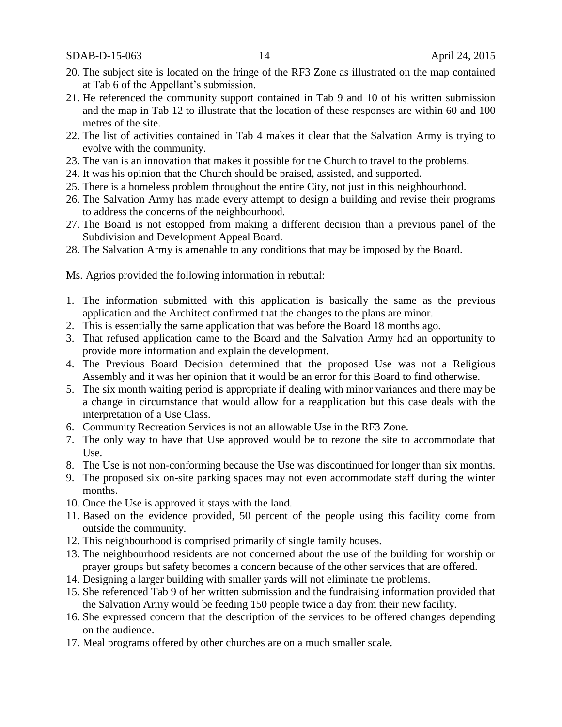SDAB-D-15-063 14 April 24, 2015

- 20. The subject site is located on the fringe of the RF3 Zone as illustrated on the map contained at Tab 6 of the Appellant's submission.
- 21. He referenced the community support contained in Tab 9 and 10 of his written submission and the map in Tab 12 to illustrate that the location of these responses are within 60 and 100 metres of the site.
- 22. The list of activities contained in Tab 4 makes it clear that the Salvation Army is trying to evolve with the community.
- 23. The van is an innovation that makes it possible for the Church to travel to the problems.
- 24. It was his opinion that the Church should be praised, assisted, and supported.
- 25. There is a homeless problem throughout the entire City, not just in this neighbourhood.
- 26. The Salvation Army has made every attempt to design a building and revise their programs to address the concerns of the neighbourhood.
- 27. The Board is not estopped from making a different decision than a previous panel of the Subdivision and Development Appeal Board.
- 28. The Salvation Army is amenable to any conditions that may be imposed by the Board.

Ms. Agrios provided the following information in rebuttal:

- 1. The information submitted with this application is basically the same as the previous application and the Architect confirmed that the changes to the plans are minor.
- 2. This is essentially the same application that was before the Board 18 months ago.
- 3. That refused application came to the Board and the Salvation Army had an opportunity to provide more information and explain the development.
- 4. The Previous Board Decision determined that the proposed Use was not a Religious Assembly and it was her opinion that it would be an error for this Board to find otherwise.
- 5. The six month waiting period is appropriate if dealing with minor variances and there may be a change in circumstance that would allow for a reapplication but this case deals with the interpretation of a Use Class.
- 6. Community Recreation Services is not an allowable Use in the RF3 Zone.
- 7. The only way to have that Use approved would be to rezone the site to accommodate that Use.
- 8. The Use is not non-conforming because the Use was discontinued for longer than six months.
- 9. The proposed six on-site parking spaces may not even accommodate staff during the winter months.
- 10. Once the Use is approved it stays with the land.
- 11. Based on the evidence provided, 50 percent of the people using this facility come from outside the community.
- 12. This neighbourhood is comprised primarily of single family houses.
- 13. The neighbourhood residents are not concerned about the use of the building for worship or prayer groups but safety becomes a concern because of the other services that are offered.
- 14. Designing a larger building with smaller yards will not eliminate the problems.
- 15. She referenced Tab 9 of her written submission and the fundraising information provided that the Salvation Army would be feeding 150 people twice a day from their new facility.
- 16. She expressed concern that the description of the services to be offered changes depending on the audience.
- 17. Meal programs offered by other churches are on a much smaller scale.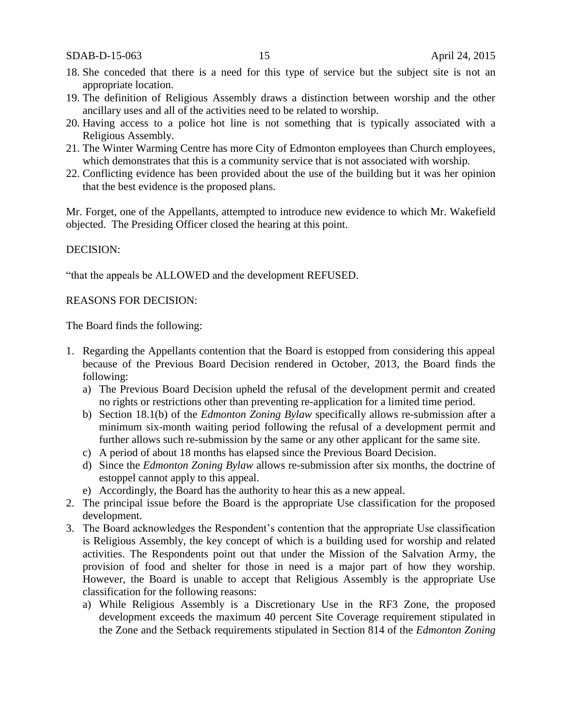SDAB-D-15-063 15 April 24, 2015

- 18. She conceded that there is a need for this type of service but the subject site is not an appropriate location.
- 19. The definition of Religious Assembly draws a distinction between worship and the other ancillary uses and all of the activities need to be related to worship.
- 20. Having access to a police hot line is not something that is typically associated with a Religious Assembly.
- 21. The Winter Warming Centre has more City of Edmonton employees than Church employees, which demonstrates that this is a community service that is not associated with worship.
- 22. Conflicting evidence has been provided about the use of the building but it was her opinion that the best evidence is the proposed plans.

Mr. Forget, one of the Appellants, attempted to introduce new evidence to which Mr. Wakefield objected. The Presiding Officer closed the hearing at this point.

### DECISION:

"that the appeals be ALLOWED and the development REFUSED.

#### REASONS FOR DECISION:

The Board finds the following:

- 1. Regarding the Appellants contention that the Board is estopped from considering this appeal because of the Previous Board Decision rendered in October, 2013, the Board finds the following:
	- a) The Previous Board Decision upheld the refusal of the development permit and created no rights or restrictions other than preventing re-application for a limited time period.
	- b) Section 18.1(b) of the *Edmonton Zoning Bylaw* specifically allows re-submission after a minimum six-month waiting period following the refusal of a development permit and further allows such re-submission by the same or any other applicant for the same site.
	- c) A period of about 18 months has elapsed since the Previous Board Decision.
	- d) Since the *Edmonton Zoning Bylaw* allows re-submission after six months, the doctrine of estoppel cannot apply to this appeal.
	- e) Accordingly, the Board has the authority to hear this as a new appeal.
- 2. The principal issue before the Board is the appropriate Use classification for the proposed development.
- 3. The Board acknowledges the Respondent's contention that the appropriate Use classification is Religious Assembly, the key concept of which is a building used for worship and related activities. The Respondents point out that under the Mission of the Salvation Army, the provision of food and shelter for those in need is a major part of how they worship. However, the Board is unable to accept that Religious Assembly is the appropriate Use classification for the following reasons:
	- a) While Religious Assembly is a Discretionary Use in the RF3 Zone, the proposed development exceeds the maximum 40 percent Site Coverage requirement stipulated in the Zone and the Setback requirements stipulated in Section 814 of the *Edmonton Zoning*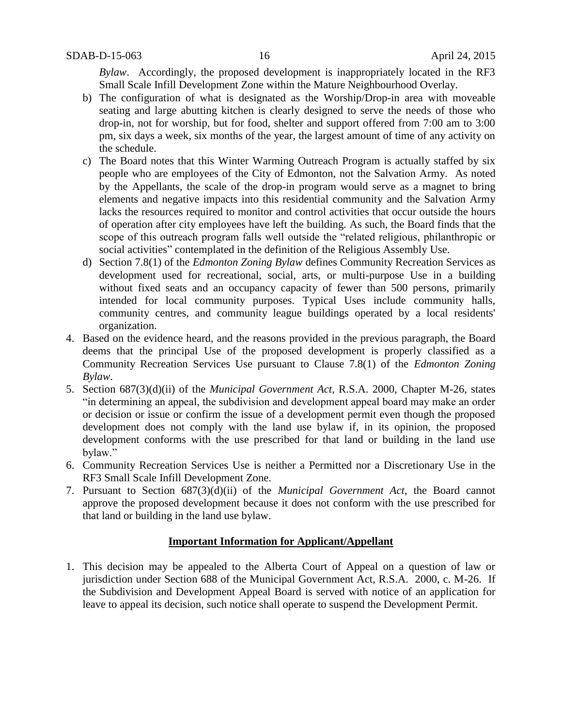*Bylaw*. Accordingly, the proposed development is inappropriately located in the RF3 Small Scale Infill Development Zone within the Mature Neighbourhood Overlay.

- b) The configuration of what is designated as the Worship/Drop-in area with moveable seating and large abutting kitchen is clearly designed to serve the needs of those who drop-in, not for worship, but for food, shelter and support offered from 7:00 am to 3:00 pm, six days a week, six months of the year, the largest amount of time of any activity on the schedule.
- c) The Board notes that this Winter Warming Outreach Program is actually staffed by six people who are employees of the City of Edmonton, not the Salvation Army. As noted by the Appellants, the scale of the drop-in program would serve as a magnet to bring elements and negative impacts into this residential community and the Salvation Army lacks the resources required to monitor and control activities that occur outside the hours of operation after city employees have left the building. As such, the Board finds that the scope of this outreach program falls well outside the "related religious, philanthropic or social activities" contemplated in the definition of the Religious Assembly Use.
- d) Section 7.8(1) of the *Edmonton Zoning Bylaw* defines Community Recreation Services as development used for recreational, social, arts, or multi-purpose Use in a building without fixed seats and an occupancy capacity of fewer than 500 persons, primarily intended for local community purposes. Typical Uses include community halls, community centres, and community league buildings operated by a local residents' organization.
- 4. Based on the evidence heard, and the reasons provided in the previous paragraph, the Board deems that the principal Use of the proposed development is properly classified as a Community Recreation Services Use pursuant to Clause 7.8(1) of the *Edmonton Zoning Bylaw*.
- 5. Section 687(3)(d)(ii) of the *Municipal Government Act*, R.S.A. 2000, Chapter M-26, states "in determining an appeal, the subdivision and development appeal board may make an order or decision or issue or confirm the issue of a development permit even though the proposed development does not comply with the land use bylaw if, in its opinion, the proposed development conforms with the use prescribed for that land or building in the land use bylaw."
- 6. Community Recreation Services Use is neither a Permitted nor a Discretionary Use in the RF3 Small Scale Infill Development Zone.
- 7. Pursuant to Section 687(3)(d)(ii) of the *Municipal Government Act*, the Board cannot approve the proposed development because it does not conform with the use prescribed for that land or building in the land use bylaw.

### **Important Information for Applicant/Appellant**

1. This decision may be appealed to the Alberta Court of Appeal on a question of law or jurisdiction under Section 688 of the Municipal Government Act, R.S.A. 2000, c. M-26. If the Subdivision and Development Appeal Board is served with notice of an application for leave to appeal its decision, such notice shall operate to suspend the Development Permit.